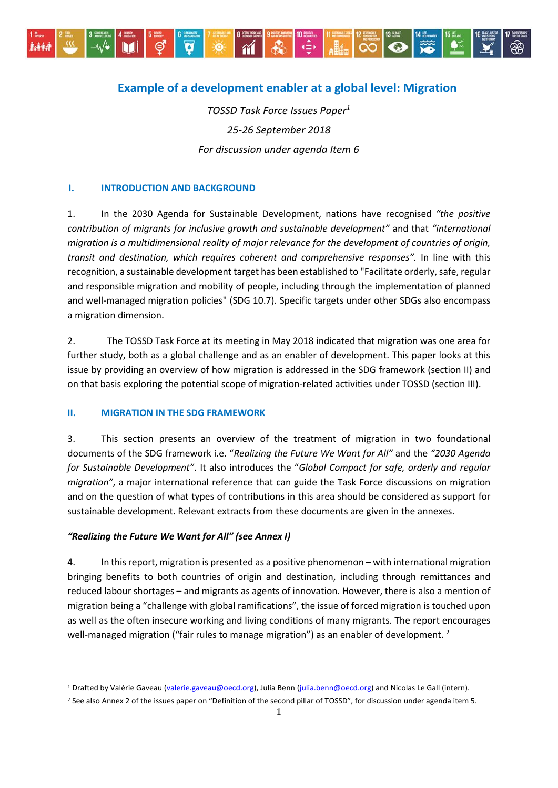

# **Example of a development enabler at a global level: Migration**

*TOSSD Task Force Issues Paper<sup>1</sup> 25-26 September 2018 For discussion under agenda Item 6*

### **I. INTRODUCTION AND BACKGROUND**

1. In the 2030 Agenda for Sustainable Development, nations have recognised *"the positive contribution of migrants for inclusive growth and sustainable development"* and that *"international migration is a multidimensional reality of major relevance for the development of countries of origin, transit and destination, which requires coherent and comprehensive responses".* In line with this recognition, a sustainable development target has been established to "Facilitate orderly, safe, regular and responsible migration and mobility of people, including through the implementation of planned and well-managed migration policies" (SDG 10.7). Specific targets under other SDGs also encompass a migration dimension.

2. The TOSSD Task Force at its meeting in May 2018 indicated that migration was one area for further study, both as a global challenge and as an enabler of development. This paper looks at this issue by providing an overview of how migration is addressed in the SDG framework (section II) and on that basis exploring the potential scope of migration-related activities under TOSSD (section III).

#### **II. MIGRATION IN THE SDG FRAMEWORK**

3. This section presents an overview of the treatment of migration in two foundational documents of the SDG framework i.e. "*Realizing the Future We Want for All"* and the *"2030 Agenda for Sustainable Development"*. It also introduces the "*Global Compact for safe, orderly and regular migration"*, a major international reference that can guide the Task Force discussions on migration and on the question of what types of contributions in this area should be considered as support for sustainable development. Relevant extracts from these documents are given in the annexes.

## *"Realizing the Future We Want for All" (see Annex I)*

1

4. In thisreport, migration is presented as a positive phenomenon – with international migration bringing benefits to both countries of origin and destination, including through remittances and reduced labour shortages – and migrants as agents of innovation. However, there is also a mention of migration being a "challenge with global ramifications", the issue of forced migration is touched upon as well as the often insecure working and living conditions of many migrants. The report encourages well-managed migration ("fair rules to manage migration") as an enabler of development. <sup>2</sup>

<sup>&</sup>lt;sup>1</sup> Drafted by Valérie Gaveau [\(valerie.gaveau@oecd.org\)](mailto:valerie.gaveau@oecd.org), Julia Benn [\(julia.benn@oecd.org\)](mailto:julia.benn@oecd.org) and Nicolas Le Gall (intern).

<sup>&</sup>lt;sup>2</sup> See also Annex 2 of the issues paper on "Definition of the second pillar of TOSSD", for discussion under agenda item 5.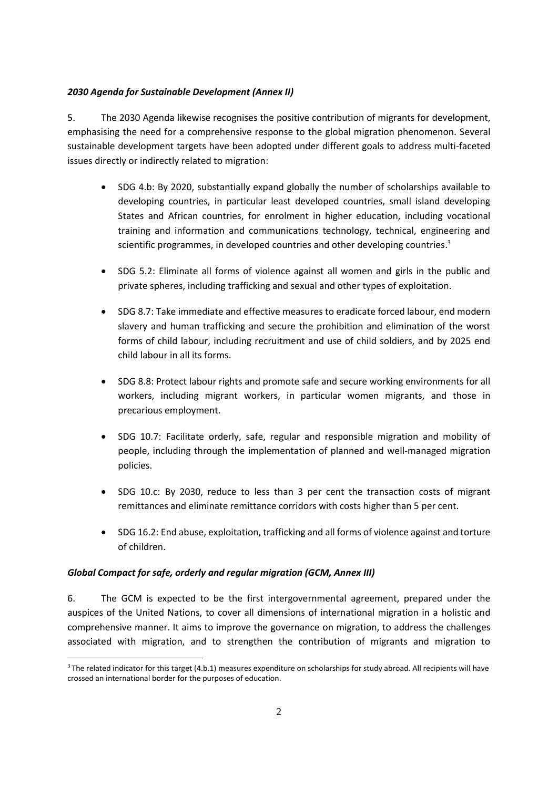# *2030 Agenda for Sustainable Development (Annex II)*

5. The 2030 Agenda likewise recognises the positive contribution of migrants for development, emphasising the need for a comprehensive response to the global migration phenomenon. Several sustainable development targets have been adopted under different goals to address multi-faceted issues directly or indirectly related to migration:

- SDG 4.b: By 2020, substantially expand globally the number of scholarships available to developing countries, in particular least developed countries, small island developing States and African countries, for enrolment in higher education, including vocational training and information and communications technology, technical, engineering and scientific programmes, in developed countries and other developing countries. 3
- SDG 5.2: Eliminate all forms of violence against all women and girls in the public and private spheres, including trafficking and sexual and other types of exploitation.
- SDG 8.7: Take immediate and effective measures to eradicate forced labour, end modern slavery and human trafficking and secure the prohibition and elimination of the worst forms of child labour, including recruitment and use of child soldiers, and by 2025 end child labour in all its forms.
- SDG 8.8: Protect labour rights and promote safe and secure working environments for all workers, including migrant workers, in particular women migrants, and those in precarious employment.
- SDG 10.7: Facilitate orderly, safe, regular and responsible migration and mobility of people, including through the implementation of planned and well-managed migration policies.
- SDG 10.c: By 2030, reduce to less than 3 per cent the transaction costs of migrant remittances and eliminate remittance corridors with costs higher than 5 per cent.
- SDG 16.2: End abuse, exploitation, trafficking and all forms of violence against and torture of children.

# *Global Compact for safe, orderly and regular migration (GCM, Annex III)*

<u>.</u>

6. The GCM is expected to be the first intergovernmental agreement, prepared under the auspices of the United Nations, to cover all dimensions of international migration in a holistic and comprehensive manner. It aims to improve the governance on migration, to address the challenges associated with migration, and to strengthen the contribution of migrants and migration to

 $3$  The related indicator for this target (4.b.1) measures expenditure on scholarships for study abroad. All recipients will have crossed an international border for the purposes of education.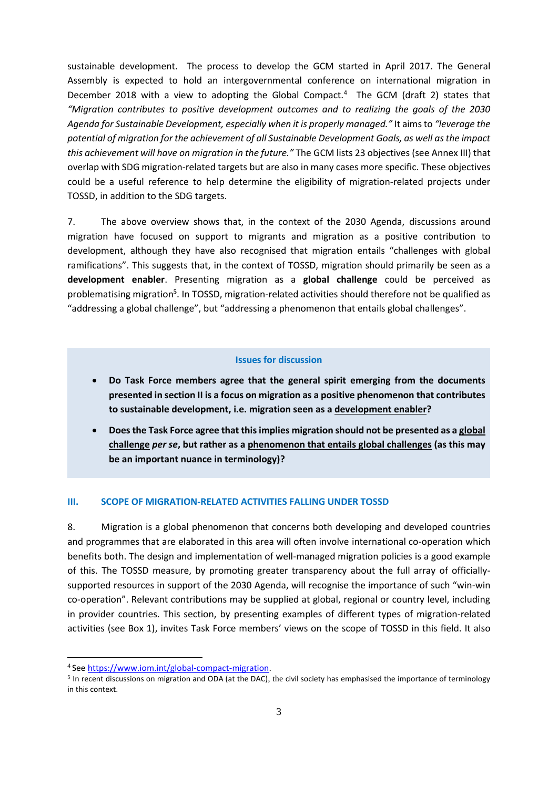sustainable development. The process to develop the GCM started in April 2017. The General Assembly is expected to hold an intergovernmental conference on international migration in December 2018 with a view to adopting the Global Compact.<sup>4</sup> The GCM (draft 2) states that *"Migration contributes to positive development outcomes and to realizing the goals of the 2030 Agenda for Sustainable Development, especially when it is properly managed."* It aims to *"leverage the potential of migration for the achievement of all Sustainable Development Goals, as well as the impact this achievement will have on migration in the future."* The GCM lists 23 objectives (see Annex III) that overlap with SDG migration-related targets but are also in many cases more specific. These objectives could be a useful reference to help determine the eligibility of migration-related projects under TOSSD, in addition to the SDG targets.

7. The above overview shows that, in the context of the 2030 Agenda, discussions around migration have focused on support to migrants and migration as a positive contribution to development, although they have also recognised that migration entails "challenges with global ramifications". This suggests that, in the context of TOSSD, migration should primarily be seen as a **development enabler**. Presenting migration as a **global challenge** could be perceived as problematising migration<sup>5</sup>. In TOSSD, migration-related activities should therefore not be qualified as "addressing a global challenge", but "addressing a phenomenon that entails global challenges".

#### **Issues for discussion**

- **Do Task Force members agree that the general spirit emerging from the documents presented in section II is a focus on migration as a positive phenomenon that contributes to sustainable development, i.e. migration seen as a development enabler?**
- **Does the Task Force agree that this implies migration should not be presented as a global challenge** *per se***, but rather as a phenomenon that entails global challenges (as this may be an important nuance in terminology)?**

#### **III. SCOPE OF MIGRATION-RELATED ACTIVITIES FALLING UNDER TOSSD**

8. Migration is a global phenomenon that concerns both developing and developed countries and programmes that are elaborated in this area will often involve international co-operation which benefits both. The design and implementation of well-managed migration policies is a good example of this. The TOSSD measure, by promoting greater transparency about the full array of officiallysupported resources in support of the 2030 Agenda, will recognise the importance of such "win-win co-operation". Relevant contributions may be supplied at global, regional or country level, including in provider countries. This section, by presenting examples of different types of migration-related activities (see Box 1), invites Task Force members' views on the scope of TOSSD in this field. It also

<sup>&</sup>lt;sup>4</sup> Se[e https://www.iom.int/global-compact-migration.](https://www.iom.int/global-compact-migration)

 $<sup>5</sup>$  In recent discussions on migration and ODA (at the DAC), the civil society has emphasised the importance of terminology</sup> in this context.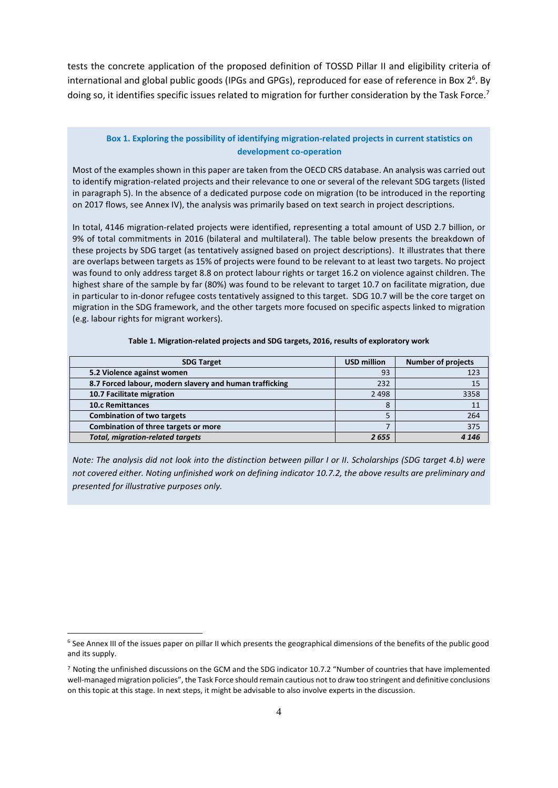tests the concrete application of the proposed definition of TOSSD Pillar II and eligibility criteria of international and global public goods (IPGs and GPGs), reproduced for ease of reference in Box 2<sup>6</sup>. By doing so, it identifies specific issues related to migration for further consideration by the Task Force.<sup>7</sup>

#### **Box 1. Exploring the possibility of identifying migration-related projects in current statistics on development co-operation**

Most of the examples shown in this paper are taken from the OECD CRS database. An analysis was carried out to identify migration-related projects and their relevance to one or several of the relevant SDG targets (listed in paragraph 5). In the absence of a dedicated purpose code on migration (to be introduced in the reporting on 2017 flows, see Annex IV), the analysis was primarily based on text search in project descriptions.

In total, 4146 migration-related projects were identified, representing a total amount of USD 2.7 billion, or 9% of total commitments in 2016 (bilateral and multilateral). The table below presents the breakdown of these projects by SDG target (as tentatively assigned based on project descriptions). It illustrates that there are overlaps between targets as 15% of projects were found to be relevant to at least two targets. No project was found to only address target 8.8 on protect labour rights or target 16.2 on violence against children. The highest share of the sample by far (80%) was found to be relevant to target 10.7 on facilitate migration, due in particular to in-donor refugee costs tentatively assigned to this target. SDG 10.7 will be the core target on migration in the SDG framework, and the other targets more focused on specific aspects linked to migration (e.g. labour rights for migrant workers).

| <b>SDG Target</b>                                       | <b>USD million</b> | <b>Number of projects</b> |
|---------------------------------------------------------|--------------------|---------------------------|
| 5.2 Violence against women                              | 93                 | 123                       |
| 8.7 Forced labour, modern slavery and human trafficking | 232                |                           |
| 10.7 Facilitate migration                               | 2 4 9 8            | 3358                      |
| <b>10.c Remittances</b>                                 |                    |                           |
| <b>Combination of two targets</b>                       |                    | 264                       |
| Combination of three targets or more                    |                    | 375                       |
| <b>Total, migration-related targets</b>                 | 2655               | 4 1 4 6                   |

#### **Table 1. Migration-related projects and SDG targets, 2016, results of exploratory work**

*Note: The analysis did not look into the distinction between pillar I or II. Scholarships (SDG target 4.b) were not covered either. Noting unfinished work on defining indicator 10.7.2, the above results are preliminary and presented for illustrative purposes only.* 

-

 $6$  See Annex III of the issues paper on pillar II which presents the geographical dimensions of the benefits of the public good and its supply.

<sup>7</sup> Noting the unfinished discussions on the GCM and the SDG indicator 10.7.2 "Number of countries that have implemented well-managed migration policies", the Task Force should remain cautious not to draw too stringent and definitive conclusions on this topic at this stage. In next steps, it might be advisable to also involve experts in the discussion.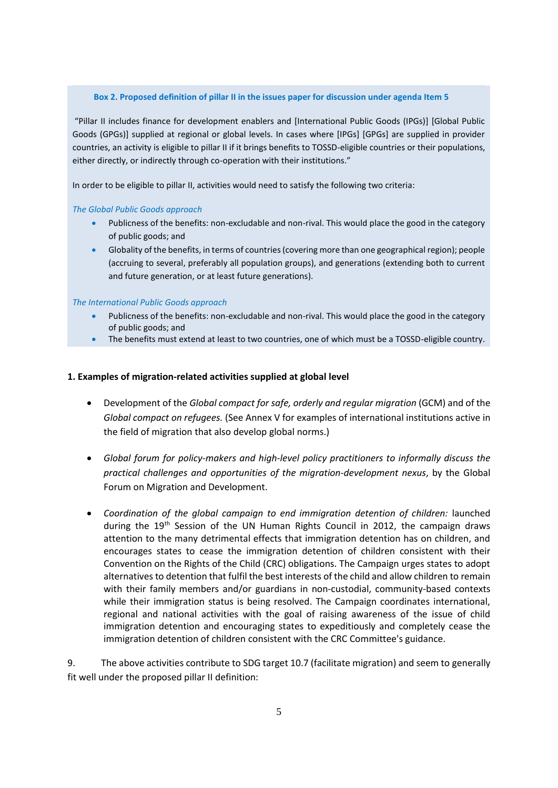#### **Box 2. Proposed definition of pillar II in the issues paper for discussion under agenda Item 5**

"Pillar II includes finance for development enablers and [International Public Goods (IPGs)] [Global Public Goods (GPGs)] supplied at regional or global levels. In cases where [IPGs] [GPGs] are supplied in provider countries, an activity is eligible to pillar II if it brings benefits to TOSSD-eligible countries or their populations, either directly, or indirectly through co-operation with their institutions."

In order to be eligible to pillar II, activities would need to satisfy the following two criteria:

#### *The Global Public Goods approach*

- Publicness of the benefits: non-excludable and non-rival. This would place the good in the category of public goods; and
- Globality of the benefits, in terms of countries (covering more than one geographical region); people (accruing to several, preferably all population groups), and generations (extending both to current and future generation, or at least future generations).

#### *The International Public Goods approach*

- Publicness of the benefits: non-excludable and non-rival. This would place the good in the category of public goods; and
- The benefits must extend at least to two countries, one of which must be a TOSSD-eligible country.

#### **1. Examples of migration-related activities supplied at global level**

- Development of the *Global compact for safe, orderly and regular migration* (GCM) and of the *Global compact on refugees.* (See Annex V for examples of international institutions active in the field of migration that also develop global norms.)
- *Global forum for policy-makers and high-level policy practitioners to informally discuss the practical challenges and opportunities of the migration-development nexus*, by the Global Forum on Migration and Development.
- *Coordination of the global campaign to end immigration detention of children:* launched during the 19<sup>th</sup> Session of the UN Human Rights Council in 2012, the campaign draws attention to the many detrimental effects that immigration detention has on children, and encourages states to cease the immigration detention of children consistent with their Convention on the Rights of the Child (CRC) obligations. The Campaign urges states to adopt alternatives to detention that fulfil the best interests of the child and allow children to remain with their family members and/or guardians in non-custodial, community-based contexts while their immigration status is being resolved. The Campaign coordinates international, regional and national activities with the goal of raising awareness of the issue of child immigration detention and encouraging states to expeditiously and completely cease the immigration detention of children consistent with the CRC Committee's guidance.

9. The above activities contribute to SDG target 10.7 (facilitate migration) and seem to generally fit well under the proposed pillar II definition: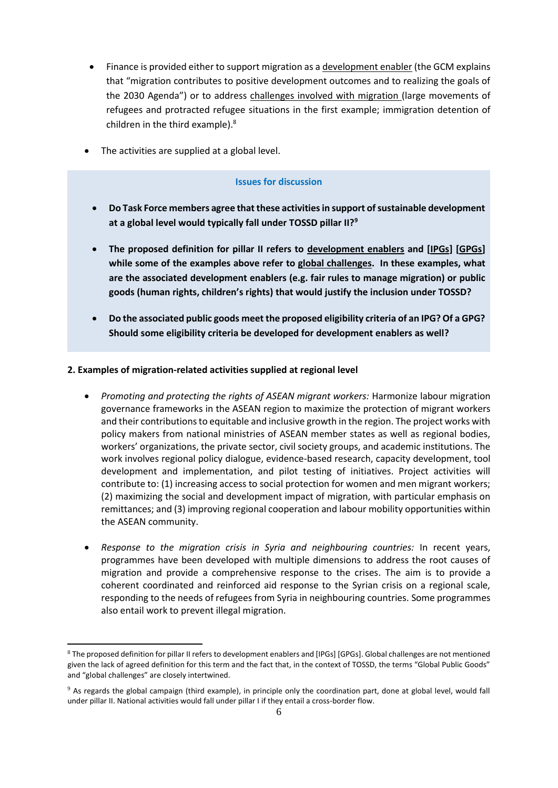- Finance is provided either to support migration as a development enabler (the GCM explains that "migration contributes to positive development outcomes and to realizing the goals of the 2030 Agenda") or to address challenges involved with migration (large movements of refugees and protracted refugee situations in the first example; immigration detention of children in the third example). 8
- The activities are supplied at a global level.

### **Issues for discussion**

- **Do Task Force members agree that these activities in support of sustainable development at a global level would typically fall under TOSSD pillar II?<sup>9</sup>**
- **The proposed definition for pillar II refers to development enablers and [IPGs] [GPGs] while some of the examples above refer to global challenges. In these examples, what are the associated development enablers (e.g. fair rules to manage migration) or public goods (human rights, children's rights) that would justify the inclusion under TOSSD?**
- **Do the associated public goods meet the proposed eligibility criteria of an IPG? Of a GPG? Should some eligibility criteria be developed for development enablers as well?**

### **2. Examples of migration-related activities supplied at regional level**

- *Promoting and protecting the rights of ASEAN migrant workers:* Harmonize labour migration governance frameworks in the ASEAN region to maximize the protection of migrant workers and their contributions to equitable and inclusive growth in the region. The project works with policy makers from national ministries of ASEAN member states as well as regional bodies, workers' organizations, the private sector, civil society groups, and academic institutions. The work involves regional policy dialogue, evidence-based research, capacity development, tool development and implementation, and pilot testing of initiatives. Project activities will contribute to: (1) increasing access to social protection for women and men migrant workers; (2) maximizing the social and development impact of migration, with particular emphasis on remittances; and (3) improving regional cooperation and labour mobility opportunities within the ASEAN community.
- *Response to the migration crisis in Syria and neighbouring countries:* In recent years, programmes have been developed with multiple dimensions to address the root causes of migration and provide a comprehensive response to the crises. The aim is to provide a coherent coordinated and reinforced aid response to the Syrian crisis on a regional scale, responding to the needs of refugees from Syria in neighbouring countries. Some programmes also entail work to prevent illegal migration.

<sup>8</sup> The proposed definition for pillar II refers to development enablers and [IPGs] [GPGs]. Global challenges are not mentioned given the lack of agreed definition for this term and the fact that, in the context of TOSSD, the terms "Global Public Goods" and "global challenges" are closely intertwined.

<sup>9</sup> As regards the global campaign (third example), in principle only the coordination part, done at global level, would fall under pillar II. National activities would fall under pillar I if they entail a cross-border flow.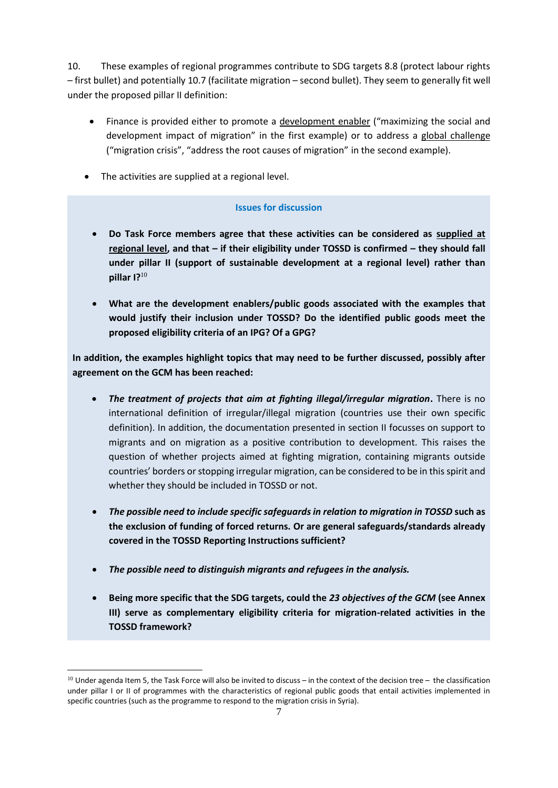10. These examples of regional programmes contribute to SDG targets 8.8 (protect labour rights – first bullet) and potentially 10.7 (facilitate migration – second bullet). They seem to generally fit well under the proposed pillar II definition:

- Finance is provided either to promote a development enabler ("maximizing the social and development impact of migration" in the first example) or to address a global challenge ("migration crisis", "address the root causes of migration" in the second example).
- The activities are supplied at a regional level.

# **Issues for discussion**

- **Do Task Force members agree that these activities can be considered as supplied at regional level, and that – if their eligibility under TOSSD is confirmed – they should fall under pillar II (support of sustainable development at a regional level) rather than pillar I?**<sup>10</sup>
- **What are the development enablers/public goods associated with the examples that would justify their inclusion under TOSSD? Do the identified public goods meet the proposed eligibility criteria of an IPG? Of a GPG?**

**In addition, the examples highlight topics that may need to be further discussed, possibly after agreement on the GCM has been reached:**

- *The treatment of projects that aim at fighting illegal/irregular migration***.** There is no international definition of irregular/illegal migration (countries use their own specific definition). In addition, the documentation presented in section II focusses on support to migrants and on migration as a positive contribution to development. This raises the question of whether projects aimed at fighting migration, containing migrants outside countries' borders or stopping irregular migration, can be considered to be in this spirit and whether they should be included in TOSSD or not.
- *The possible need to include specific safeguards in relation to migration in TOSSD* **such as the exclusion of funding of forced returns. Or are general safeguards/standards already covered in the TOSSD Reporting Instructions sufficient?**
- *The possible need to distinguish migrants and refugees in the analysis.*

-

 **Being more specific that the SDG targets, could the** *23 objectives of the GCM* **(see Annex III) serve as complementary eligibility criteria for migration-related activities in the TOSSD framework?**

 $10$  Under agenda Item 5, the Task Force will also be invited to discuss – in the context of the decision tree – the classification under pillar I or II of programmes with the characteristics of regional public goods that entail activities implemented in specific countries (such as the programme to respond to the migration crisis in Syria).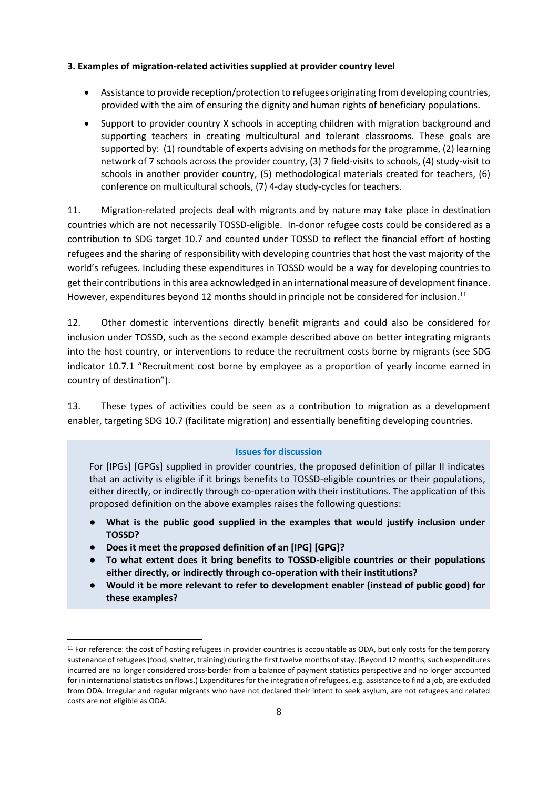### **3. Examples of migration-related activities supplied at provider country level**

- Assistance to provide reception/protection to refugees originating from developing countries, provided with the aim of ensuring the dignity and human rights of beneficiary populations.
- Support to provider country X schools in accepting children with migration background and supporting teachers in creating multicultural and tolerant classrooms. These goals are supported by: (1) roundtable of experts advising on methods for the programme, (2) learning network of 7 schools across the provider country, (3) 7 field-visits to schools, (4) study-visit to schools in another provider country, (5) methodological materials created for teachers, (6) conference on multicultural schools, (7) 4-day study-cycles for teachers.

11. Migration-related projects deal with migrants and by nature may take place in destination countries which are not necessarily TOSSD-eligible. In-donor refugee costs could be considered as a contribution to SDG target 10.7 and counted under TOSSD to reflect the financial effort of hosting refugees and the sharing of responsibility with developing countries that host the vast majority of the world's refugees. Including these expenditures in TOSSD would be a way for developing countries to get their contributions in this area acknowledged in an international measure of development finance. However, expenditures beyond 12 months should in principle not be considered for inclusion.<sup>11</sup>

12. Other domestic interventions directly benefit migrants and could also be considered for inclusion under TOSSD, such as the second example described above on better integrating migrants into the host country, or interventions to reduce the recruitment costs borne by migrants (see SDG indicator 10.7.1 "Recruitment cost borne by employee as a proportion of yearly income earned in country of destination").

13. These types of activities could be seen as a contribution to migration as a development enabler, targeting SDG 10.7 (facilitate migration) and essentially benefiting developing countries.

#### **Issues for discussion**

For [IPGs] [GPGs] supplied in provider countries, the proposed definition of pillar II indicates that an activity is eligible if it brings benefits to TOSSD-eligible countries or their populations, either directly, or indirectly through co-operation with their institutions. The application of this proposed definition on the above examples raises the following questions:

- **What is the public good supplied in the examples that would justify inclusion under TOSSD?**
- **Does it meet the proposed definition of an [IPG] [GPG]?**

- **To what extent does it bring benefits to TOSSD-eligible countries or their populations either directly, or indirectly through co-operation with their institutions?**
- **Would it be more relevant to refer to development enabler (instead of public good) for these examples?**

<sup>&</sup>lt;sup>11</sup> For reference: the cost of hosting refugees in provider countries is accountable as ODA, but only costs for the temporary sustenance of refugees (food, shelter, training) during the first twelve months of stay. (Beyond 12 months, such expenditures incurred are no longer considered cross-border from a balance of payment statistics perspective and no longer accounted for in international statistics on flows.) Expenditures for the integration of refugees, e.g. assistance to find a job, are excluded from ODA. Irregular and regular migrants who have not declared their intent to seek asylum, are not refugees and related costs are not eligible as ODA.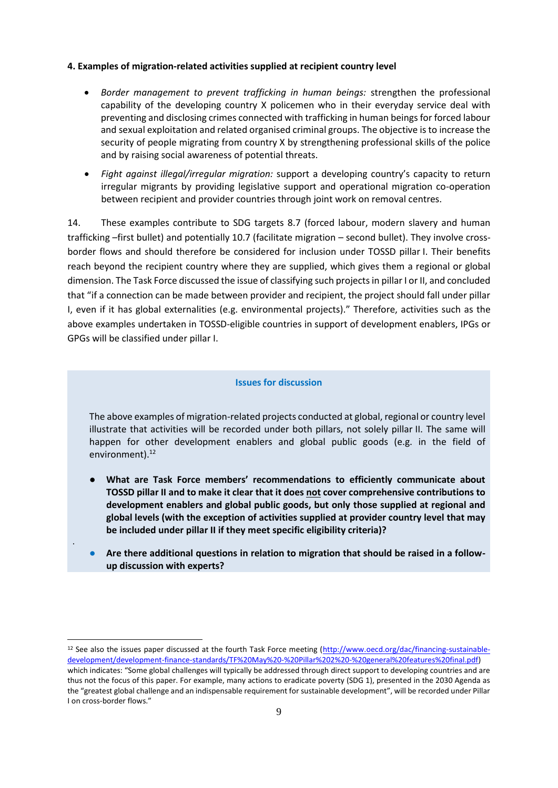### **4. Examples of migration-related activities supplied at recipient country level**

- *Border management to prevent trafficking in human beings:* strengthen the professional capability of the developing country X policemen who in their everyday service deal with preventing and disclosing crimes connected with trafficking in human beings for forced labour and sexual exploitation and related organised criminal groups. The objective is to increase the security of people migrating from country X by strengthening professional skills of the police and by raising social awareness of potential threats.
- *Fight against illegal/irregular migration:* support a developing country's capacity to return irregular migrants by providing legislative support and operational migration co-operation between recipient and provider countries through joint work on removal centres.

14. These examples contribute to SDG targets 8.7 (forced labour, modern slavery and human trafficking –first bullet) and potentially 10.7 (facilitate migration – second bullet). They involve crossborder flows and should therefore be considered for inclusion under TOSSD pillar I. Their benefits reach beyond the recipient country where they are supplied, which gives them a regional or global dimension. The Task Force discussed the issue of classifying such projects in pillar I or II, and concluded that "if a connection can be made between provider and recipient, the project should fall under pillar I, even if it has global externalities (e.g. environmental projects)." Therefore, activities such as the above examples undertaken in TOSSD-eligible countries in support of development enablers, IPGs or GPGs will be classified under pillar I.

#### **Issues for discussion**

The above examples of migration-related projects conducted at global, regional or country level illustrate that activities will be recorded under both pillars, not solely pillar II. The same will happen for other development enablers and global public goods (e.g. in the field of environment).<sup>12</sup>

- **What are Task Force members' recommendations to efficiently communicate about TOSSD pillar II and to make it clear that it does not cover comprehensive contributions to development enablers and global public goods, but only those supplied at regional and global levels (with the exception of activities supplied at provider country level that may be included under pillar II if they meet specific eligibility criteria)?**
- Are there additional questions in relation to migration that should be raised in a follow**up discussion with experts?**

.

<sup>&</sup>lt;sup>12</sup> See also the issues paper discussed at the fourth Task Force meeting [\(http://www.oecd.org/dac/financing-sustainable](http://www.oecd.org/dac/financing-sustainable-development/development-finance-standards/TF%20May%20-%20Pillar%202%20-%20general%20features%20final.pdf)[development/development-finance-standards/TF%20May%20-%20Pillar%202%20-%20general%20features%20final.pdf\)](http://www.oecd.org/dac/financing-sustainable-development/development-finance-standards/TF%20May%20-%20Pillar%202%20-%20general%20features%20final.pdf) which indicates: "Some global challenges will typically be addressed through direct support to developing countries and are thus not the focus of this paper. For example, many actions to eradicate poverty (SDG 1), presented in the 2030 Agenda as the "greatest global challenge and an indispensable requirement for sustainable development", will be recorded under Pillar I on cross-border flows."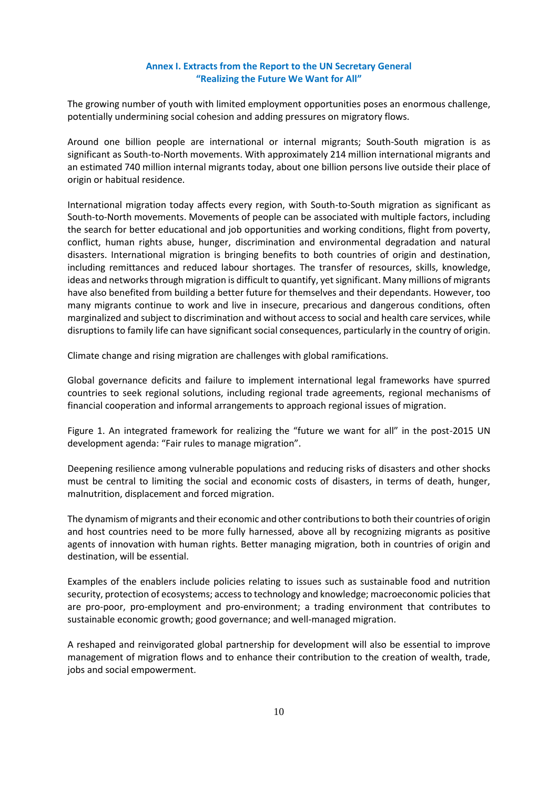## **Annex I. Extracts from the Report to the UN Secretary General "Realizing the Future We Want for All"**

The growing number of youth with limited employment opportunities poses an enormous challenge, potentially undermining social cohesion and adding pressures on migratory flows.

Around one billion people are international or internal migrants; South-South migration is as significant as South-to-North movements. With approximately 214 million international migrants and an estimated 740 million internal migrants today, about one billion persons live outside their place of origin or habitual residence.

International migration today affects every region, with South-to-South migration as significant as South-to-North movements. Movements of people can be associated with multiple factors, including the search for better educational and job opportunities and working conditions, flight from poverty, conflict, human rights abuse, hunger, discrimination and environmental degradation and natural disasters. International migration is bringing benefits to both countries of origin and destination, including remittances and reduced labour shortages. The transfer of resources, skills, knowledge, ideas and networks through migration is difficult to quantify, yet significant. Many millions of migrants have also benefited from building a better future for themselves and their dependants. However, too many migrants continue to work and live in insecure, precarious and dangerous conditions, often marginalized and subject to discrimination and without access to social and health care services, while disruptions to family life can have significant social consequences, particularly in the country of origin.

Climate change and rising migration are challenges with global ramifications.

Global governance deficits and failure to implement international legal frameworks have spurred countries to seek regional solutions, including regional trade agreements, regional mechanisms of financial cooperation and informal arrangements to approach regional issues of migration.

Figure 1. An integrated framework for realizing the "future we want for all" in the post-2015 UN development agenda: "Fair rules to manage migration".

Deepening resilience among vulnerable populations and reducing risks of disasters and other shocks must be central to limiting the social and economic costs of disasters, in terms of death, hunger, malnutrition, displacement and forced migration.

The dynamism of migrants and their economic and other contributions to both their countries of origin and host countries need to be more fully harnessed, above all by recognizing migrants as positive agents of innovation with human rights. Better managing migration, both in countries of origin and destination, will be essential.

Examples of the enablers include policies relating to issues such as sustainable food and nutrition security, protection of ecosystems; access to technology and knowledge; macroeconomic policies that are pro-poor, pro-employment and pro-environment; a trading environment that contributes to sustainable economic growth; good governance; and well-managed migration.

A reshaped and reinvigorated global partnership for development will also be essential to improve management of migration flows and to enhance their contribution to the creation of wealth, trade, jobs and social empowerment.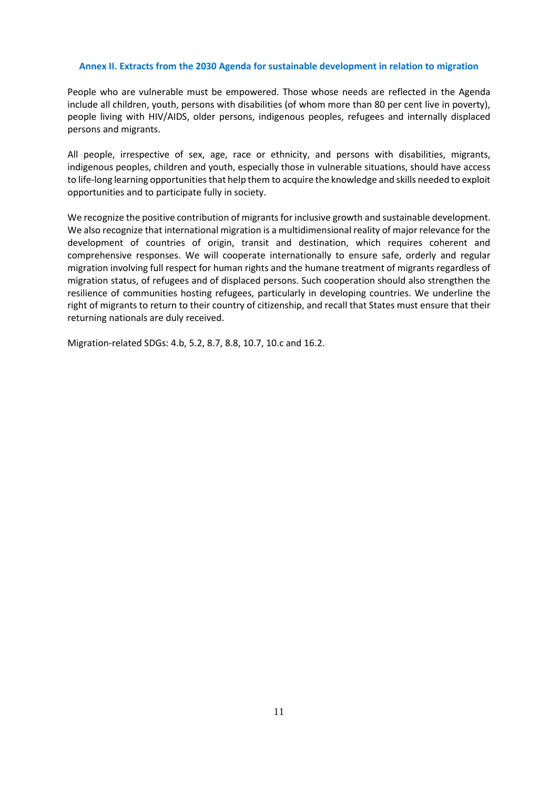#### **Annex II. Extracts from the 2030 Agenda for sustainable development in relation to migration**

People who are vulnerable must be empowered. Those whose needs are reflected in the Agenda include all children, youth, persons with disabilities (of whom more than 80 per cent live in poverty), people living with HIV/AIDS, older persons, indigenous peoples, refugees and internally displaced persons and migrants.

All people, irrespective of sex, age, race or ethnicity, and persons with disabilities, migrants, indigenous peoples, children and youth, especially those in vulnerable situations, should have access to life-long learning opportunities that help them to acquire the knowledge and skills needed to exploit opportunities and to participate fully in society.

We recognize the positive contribution of migrants for inclusive growth and sustainable development. We also recognize that international migration is a multidimensional reality of major relevance for the development of countries of origin, transit and destination, which requires coherent and comprehensive responses. We will cooperate internationally to ensure safe, orderly and regular migration involving full respect for human rights and the humane treatment of migrants regardless of migration status, of refugees and of displaced persons. Such cooperation should also strengthen the resilience of communities hosting refugees, particularly in developing countries. We underline the right of migrants to return to their country of citizenship, and recall that States must ensure that their returning nationals are duly received.

Migration-related SDGs: 4.b, 5.2, 8.7, 8.8, 10.7, 10.c and 16.2.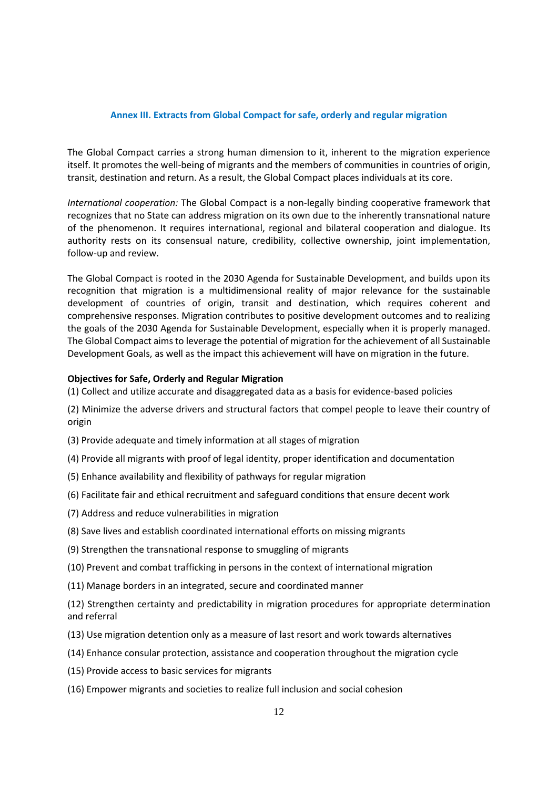### **Annex III. Extracts from Global Compact for safe, orderly and regular migration**

The Global Compact carries a strong human dimension to it, inherent to the migration experience itself. It promotes the well-being of migrants and the members of communities in countries of origin, transit, destination and return. As a result, the Global Compact places individuals at its core.

*International cooperation:* The Global Compact is a non-legally binding cooperative framework that recognizes that no State can address migration on its own due to the inherently transnational nature of the phenomenon. It requires international, regional and bilateral cooperation and dialogue. Its authority rests on its consensual nature, credibility, collective ownership, joint implementation, follow-up and review.

The Global Compact is rooted in the 2030 Agenda for Sustainable Development, and builds upon its recognition that migration is a multidimensional reality of major relevance for the sustainable development of countries of origin, transit and destination, which requires coherent and comprehensive responses. Migration contributes to positive development outcomes and to realizing the goals of the 2030 Agenda for Sustainable Development, especially when it is properly managed. The Global Compact aims to leverage the potential of migration for the achievement of all Sustainable Development Goals, as well as the impact this achievement will have on migration in the future.

### **Objectives for Safe, Orderly and Regular Migration**

(1) Collect and utilize accurate and disaggregated data as a basis for evidence-based policies

- (2) Minimize the adverse drivers and structural factors that compel people to leave their country of origin
- (3) Provide adequate and timely information at all stages of migration
- (4) Provide all migrants with proof of legal identity, proper identification and documentation
- (5) Enhance availability and flexibility of pathways for regular migration
- (6) Facilitate fair and ethical recruitment and safeguard conditions that ensure decent work
- (7) Address and reduce vulnerabilities in migration
- (8) Save lives and establish coordinated international efforts on missing migrants
- (9) Strengthen the transnational response to smuggling of migrants
- (10) Prevent and combat trafficking in persons in the context of international migration
- (11) Manage borders in an integrated, secure and coordinated manner

(12) Strengthen certainty and predictability in migration procedures for appropriate determination and referral

- (13) Use migration detention only as a measure of last resort and work towards alternatives
- (14) Enhance consular protection, assistance and cooperation throughout the migration cycle
- (15) Provide access to basic services for migrants
- (16) Empower migrants and societies to realize full inclusion and social cohesion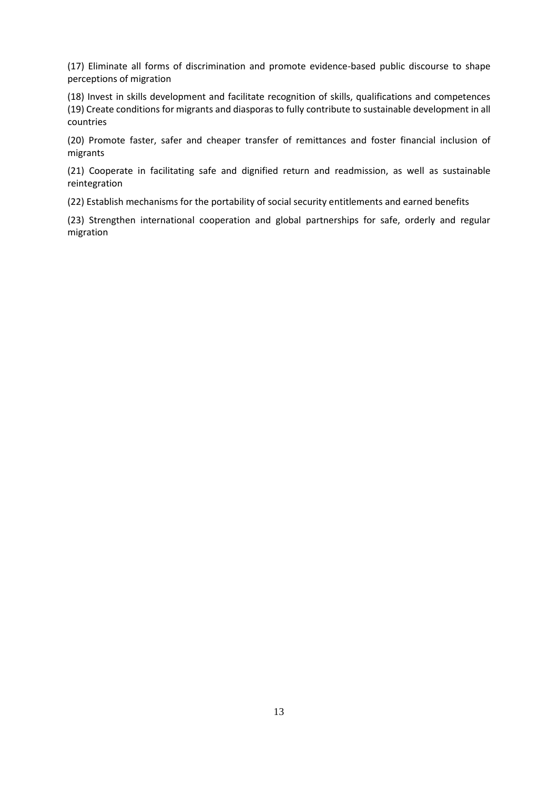(17) Eliminate all forms of discrimination and promote evidence-based public discourse to shape perceptions of migration

(18) Invest in skills development and facilitate recognition of skills, qualifications and competences (19) Create conditions for migrants and diasporas to fully contribute to sustainable development in all countries

(20) Promote faster, safer and cheaper transfer of remittances and foster financial inclusion of migrants

(21) Cooperate in facilitating safe and dignified return and readmission, as well as sustainable reintegration

(22) Establish mechanisms for the portability of social security entitlements and earned benefits

(23) Strengthen international cooperation and global partnerships for safe, orderly and regular migration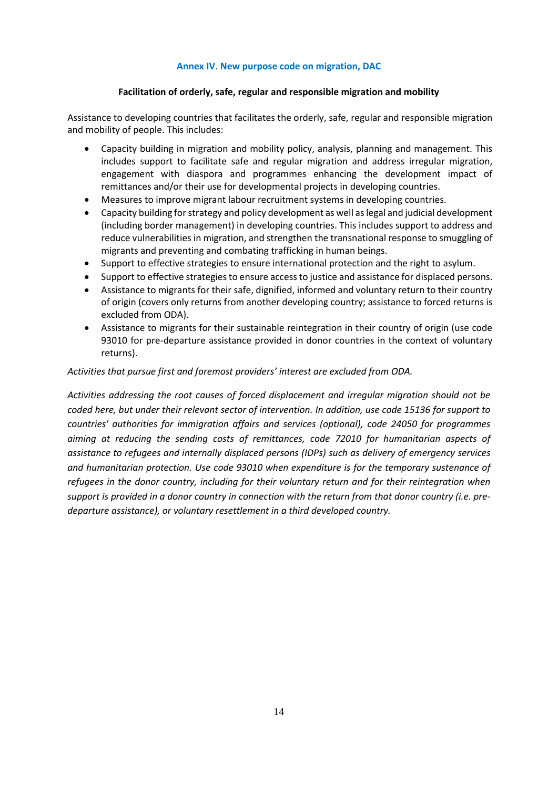### **Annex IV. New purpose code on migration, DAC**

### **Facilitation of orderly, safe, regular and responsible migration and mobility**

Assistance to developing countries that facilitates the orderly, safe, regular and responsible migration and mobility of people. This includes:

- Capacity building in migration and mobility policy, analysis, planning and management. This includes support to facilitate safe and regular migration and address irregular migration, engagement with diaspora and programmes enhancing the development impact of remittances and/or their use for developmental projects in developing countries.
- Measures to improve migrant labour recruitment systems in developing countries.
- Capacity building for strategy and policy development as well as legal and judicial development (including border management) in developing countries. This includes support to address and reduce vulnerabilities in migration, and strengthen the transnational response to smuggling of migrants and preventing and combating trafficking in human beings.
- Support to effective strategies to ensure international protection and the right to asylum.
- Support to effective strategies to ensure access to justice and assistance for displaced persons.
- Assistance to migrants for their safe, dignified, informed and voluntary return to their country of origin (covers only returns from another developing country; assistance to forced returns is excluded from ODA).
- Assistance to migrants for their sustainable reintegration in their country of origin (use code 93010 for pre-departure assistance provided in donor countries in the context of voluntary returns).

### *Activities that pursue first and foremost providers' interest are excluded from ODA.*

*Activities addressing the root causes of forced displacement and irregular migration should not be coded here, but under their relevant sector of intervention. In addition, use code 15136 for support to countries' authorities for immigration affairs and services (optional), code 24050 for programmes aiming at reducing the sending costs of remittances, code 72010 for humanitarian aspects of assistance to refugees and internally displaced persons (IDPs) such as delivery of emergency services and humanitarian protection. Use code 93010 when expenditure is for the temporary sustenance of refugees in the donor country, including for their voluntary return and for their reintegration when support is provided in a donor country in connection with the return from that donor country (i.e. predeparture assistance), or voluntary resettlement in a third developed country.*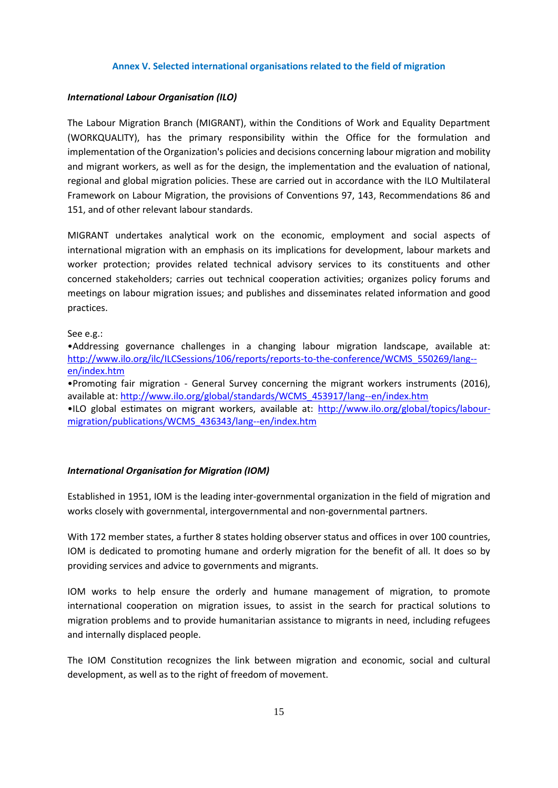#### **Annex V. Selected international organisations related to the field of migration**

#### *International Labour Organisation (ILO)*

The Labour Migration Branch (MIGRANT), within the Conditions of Work and Equality Department (WORKQUALITY), has the primary responsibility within the Office for the formulation and implementation of the Organization's policies and decisions concerning labour migration and mobility and migrant workers, as well as for the design, the implementation and the evaluation of national, regional and global migration policies. These are carried out in accordance with the ILO Multilateral Framework on Labour Migration, the provisions of Conventions 97, 143, Recommendations 86 and 151, and of other relevant labour standards.

MIGRANT undertakes analytical work on the economic, employment and social aspects of international migration with an emphasis on its implications for development, labour markets and worker protection; provides related technical advisory services to its constituents and other concerned stakeholders; carries out technical cooperation activities; organizes policy forums and meetings on labour migration issues; and publishes and disseminates related information and good practices.

#### See e.g.:

•Addressing governance challenges in a changing labour migration landscape, available at: [http://www.ilo.org/ilc/ILCSessions/106/reports/reports-to-the-conference/WCMS\\_550269/lang-](http://www.ilo.org/ilc/ILCSessions/106/reports/reports-to-the-conference/WCMS_550269/lang--en/index.htm) [en/index.htm](http://www.ilo.org/ilc/ILCSessions/106/reports/reports-to-the-conference/WCMS_550269/lang--en/index.htm)

•Promoting fair migration - General Survey concerning the migrant workers instruments (2016), available at[: http://www.ilo.org/global/standards/WCMS\\_453917/lang--en/index.htm](http://www.ilo.org/global/standards/WCMS_453917/lang--en/index.htm)

•ILO global estimates on migrant workers, available at: [http://www.ilo.org/global/topics/labour](http://www.ilo.org/global/topics/labour-migration/publications/WCMS_436343/lang--en/index.htm)[migration/publications/WCMS\\_436343/lang--en/index.htm](http://www.ilo.org/global/topics/labour-migration/publications/WCMS_436343/lang--en/index.htm)

#### *International Organisation for Migration (IOM)*

Established in 1951, IOM is the leading inter-governmental organization in the field of migration and works closely with governmental, intergovernmental and non-governmental partners.

With 172 member states, a further 8 states holding observer status and offices in over 100 countries, IOM is dedicated to promoting humane and orderly migration for the benefit of all. It does so by providing services and advice to governments and migrants.

IOM works to help ensure the orderly and humane management of migration, to promote international cooperation on migration issues, to assist in the search for practical solutions to migration problems and to provide humanitarian assistance to migrants in need, including refugees and internally displaced people.

The IOM Constitution recognizes the link between migration and economic, social and cultural development, as well as to the right of freedom of movement.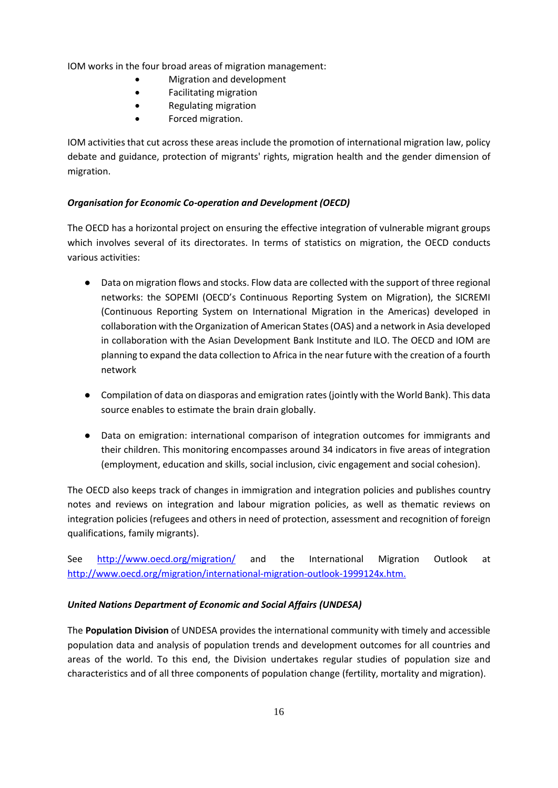IOM works in the four broad areas of migration management:

- Migration and development
- Facilitating migration
- Regulating migration
- Forced migration.

IOM activities that cut across these areas include the promotion of international migration law, policy debate and guidance, protection of migrants' rights, migration health and the gender dimension of migration.

# *Organisation for Economic Co-operation and Development (OECD)*

The OECD has a horizontal project on ensuring the effective integration of vulnerable migrant groups which involves several of its directorates. In terms of statistics on migration, the OECD conducts various activities:

- Data on migration flows and stocks. Flow data are collected with the support of three regional networks: the SOPEMI (OECD's Continuous Reporting System on Migration), the SICREMI (Continuous Reporting System on International Migration in the Americas) developed in collaboration with the Organization of American States (OAS) and a network in Asia developed in collaboration with the Asian Development Bank Institute and ILO. The OECD and IOM are planning to expand the data collection to Africa in the near future with the creation of a fourth network
- Compilation of data on diasporas and emigration rates (jointly with the World Bank). This data source enables to estimate the brain drain globally.
- Data on emigration: international comparison of integration outcomes for immigrants and their children. This monitoring encompasses around 34 indicators in five areas of integration (employment, education and skills, social inclusion, civic engagement and social cohesion).

The OECD also keeps track of changes in immigration and integration policies and publishes country notes and reviews on integration and labour migration policies, as well as thematic reviews on integration policies (refugees and others in need of protection, assessment and recognition of foreign qualifications, family migrants).

See <http://www.oecd.org/migration/> and the International Migration Outlook at http://www.oecd.org/migration/international-migration-outlook-1999124x.htm.

# *United Nations Department of Economic and Social Affairs (UNDESA)*

The **Population Division** of UNDESA provides the international community with timely and accessible population data and analysis of population trends and development outcomes for all countries and areas of the world. To this end, the Division undertakes regular studies of population size and characteristics and of all three components of population change (fertility, mortality and migration).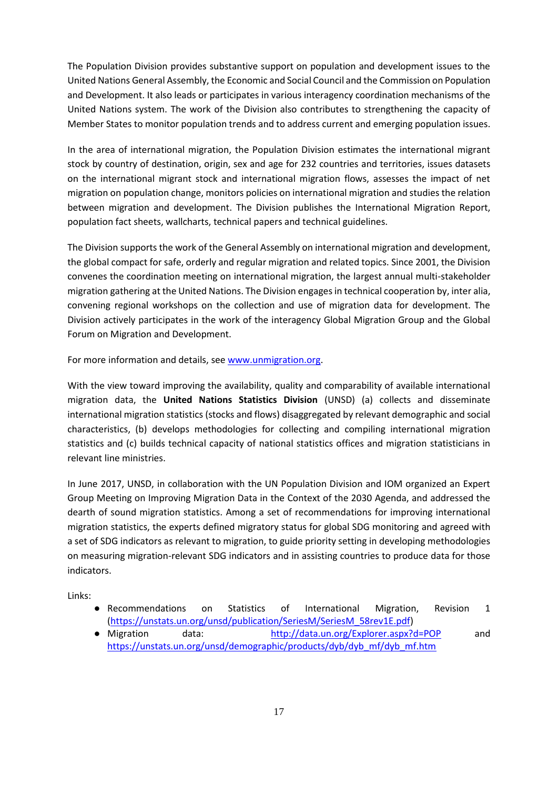The Population Division provides substantive support on population and development issues to the United Nations General Assembly, the Economic and Social Council and the Commission on Population and Development. It also leads or participates in various interagency coordination mechanisms of the United Nations system. The work of the Division also contributes to strengthening the capacity of Member States to monitor population trends and to address current and emerging population issues.

In the area of international migration, the Population Division estimates the international migrant stock by country of destination, origin, sex and age for 232 countries and territories, issues datasets on the international migrant stock and international migration flows, assesses the impact of net migration on population change, monitors policies on international migration and studies the relation between migration and development. The Division publishes the International Migration Report, population fact sheets, wallcharts, technical papers and technical guidelines.

The Division supports the work of the General Assembly on international migration and development, the global compact for safe, orderly and regular migration and related topics. Since 2001, the Division convenes the coordination meeting on international migration, the largest annual multi-stakeholder migration gathering at the United Nations. The Division engages in technical cooperation by, inter alia, convening regional workshops on the collection and use of migration data for development. The Division actively participates in the work of the interagency Global Migration Group and the Global Forum on Migration and Development.

For more information and details, see [www.unmigration.org.](http://www.unmigration.org/)

With the view toward improving the availability, quality and comparability of available international migration data, the **United Nations Statistics Division** (UNSD) (a) collects and disseminate international migration statistics (stocks and flows) disaggregated by relevant demographic and social characteristics, (b) develops methodologies for collecting and compiling international migration statistics and (c) builds technical capacity of national statistics offices and migration statisticians in relevant line ministries.

In June 2017, UNSD, in collaboration with the UN Population Division and IOM organized an Expert Group Meeting on Improving Migration Data in the Context of the 2030 Agenda, and addressed the dearth of sound migration statistics. Among a set of recommendations for improving international migration statistics, the experts defined migratory status for global SDG monitoring and agreed with a set of SDG indicators as relevant to migration, to guide priority setting in developing methodologies on measuring migration-relevant SDG indicators and in assisting countries to produce data for those indicators.

Links:

- Recommendations on Statistics of International Migration, Revision 1 [\(https://unstats.un.org/unsd/publication/SeriesM/SeriesM\\_58rev1E.pdf\)](https://unstats.un.org/unsd/publication/SeriesM/SeriesM_58rev1E.pdf)
- Migration data: <http://data.un.org/Explorer.aspx?d=POP> and [https://unstats.un.org/unsd/demographic/products/dyb/dyb\\_mf/dyb\\_mf.htm](https://unstats.un.org/unsd/demographic/products/dyb/dyb_mf/dyb_mf.htm)